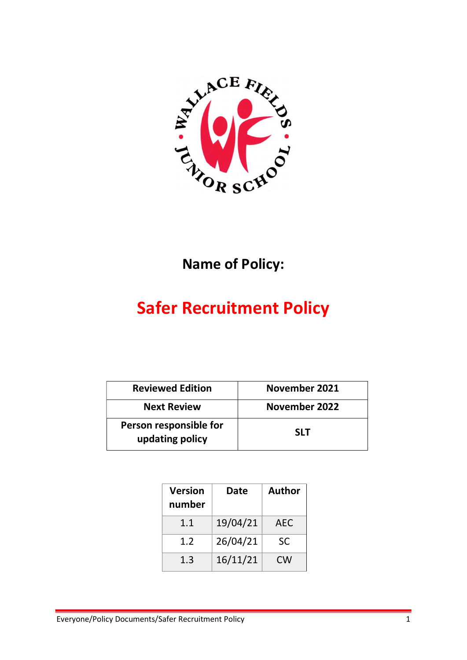

## Name of Policy:

# Safer Recruitment Policy

| <b>Reviewed Edition</b>                   | November 2021 |
|-------------------------------------------|---------------|
| <b>Next Review</b>                        | November 2022 |
| Person responsible for<br>updating policy | <b>SLT</b>    |

| <b>Version</b><br>number | Date     | <b>Author</b> |
|--------------------------|----------|---------------|
| 1.1                      | 19/04/21 | AEC           |
| 1.2                      | 26/04/21 | SC            |
| 1.3                      | 16/11/21 | CW            |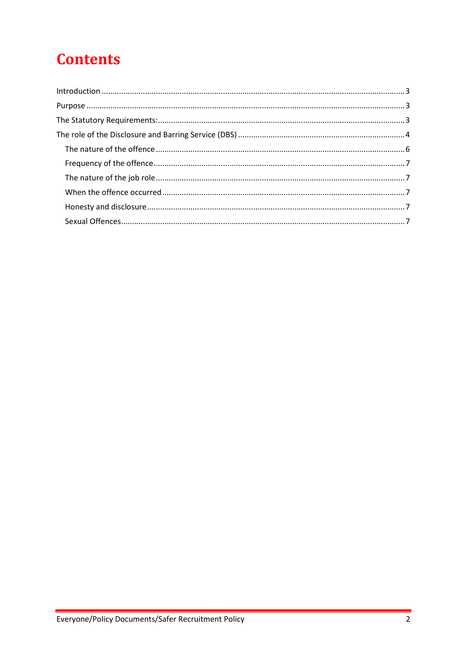## **Contents**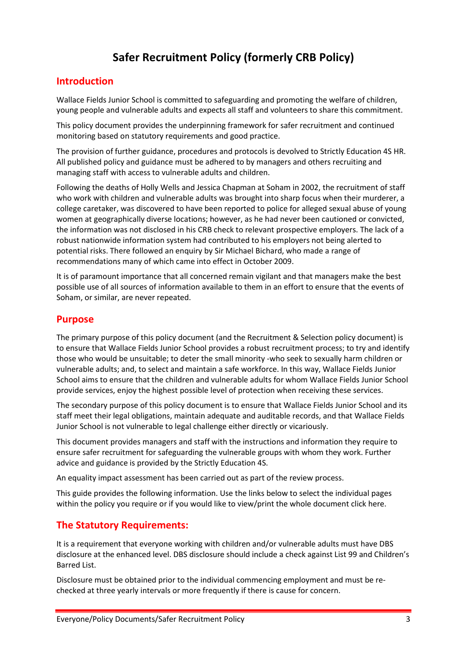## Safer Recruitment Policy (formerly CRB Policy)

### Introduction

Wallace Fields Junior School is committed to safeguarding and promoting the welfare of children, young people and vulnerable adults and expects all staff and volunteers to share this commitment.

This policy document provides the underpinning framework for safer recruitment and continued monitoring based on statutory requirements and good practice.

The provision of further guidance, procedures and protocols is devolved to Strictly Education 4S HR. All published policy and guidance must be adhered to by managers and others recruiting and managing staff with access to vulnerable adults and children.

Following the deaths of Holly Wells and Jessica Chapman at Soham in 2002, the recruitment of staff who work with children and vulnerable adults was brought into sharp focus when their murderer, a college caretaker, was discovered to have been reported to police for alleged sexual abuse of young women at geographically diverse locations; however, as he had never been cautioned or convicted, the information was not disclosed in his CRB check to relevant prospective employers. The lack of a robust nationwide information system had contributed to his employers not being alerted to potential risks. There followed an enquiry by Sir Michael Bichard, who made a range of recommendations many of which came into effect in October 2009.

It is of paramount importance that all concerned remain vigilant and that managers make the best possible use of all sources of information available to them in an effort to ensure that the events of Soham, or similar, are never repeated.

### Purpose

The primary purpose of this policy document (and the Recruitment & Selection policy document) is to ensure that Wallace Fields Junior School provides a robust recruitment process; to try and identify those who would be unsuitable; to deter the small minority -who seek to sexually harm children or vulnerable adults; and, to select and maintain a safe workforce. In this way, Wallace Fields Junior School aims to ensure that the children and vulnerable adults for whom Wallace Fields Junior School provide services, enjoy the highest possible level of protection when receiving these services.

The secondary purpose of this policy document is to ensure that Wallace Fields Junior School and its staff meet their legal obligations, maintain adequate and auditable records, and that Wallace Fields Junior School is not vulnerable to legal challenge either directly or vicariously.

This document provides managers and staff with the instructions and information they require to ensure safer recruitment for safeguarding the vulnerable groups with whom they work. Further advice and guidance is provided by the Strictly Education 4S.

An equality impact assessment has been carried out as part of the review process.

This guide provides the following information. Use the links below to select the individual pages within the policy you require or if you would like to view/print the whole document click here.

## The Statutory Requirements:

It is a requirement that everyone working with children and/or vulnerable adults must have DBS disclosure at the enhanced level. DBS disclosure should include a check against List 99 and Children's Barred List.

Disclosure must be obtained prior to the individual commencing employment and must be rechecked at three yearly intervals or more frequently if there is cause for concern.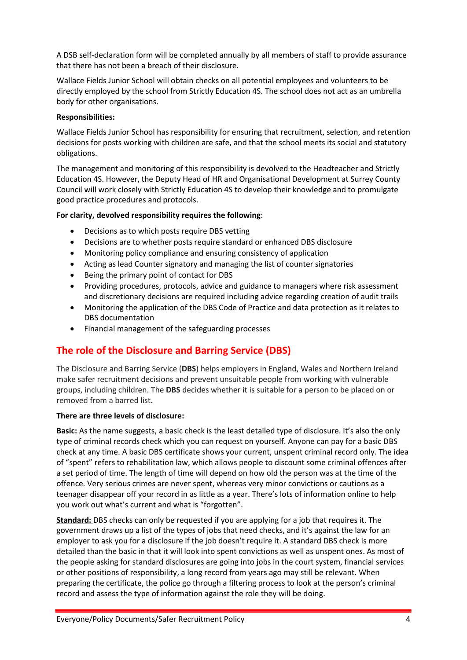A DSB self-declaration form will be completed annually by all members of staff to provide assurance that there has not been a breach of their disclosure.

Wallace Fields Junior School will obtain checks on all potential employees and volunteers to be directly employed by the school from Strictly Education 4S. The school does not act as an umbrella body for other organisations.

#### Responsibilities:

Wallace Fields Junior School has responsibility for ensuring that recruitment, selection, and retention decisions for posts working with children are safe, and that the school meets its social and statutory obligations.

The management and monitoring of this responsibility is devolved to the Headteacher and Strictly Education 4S. However, the Deputy Head of HR and Organisational Development at Surrey County Council will work closely with Strictly Education 4S to develop their knowledge and to promulgate good practice procedures and protocols.

#### For clarity, devolved responsibility requires the following:

- Decisions as to which posts require DBS vetting
- Decisions are to whether posts require standard or enhanced DBS disclosure
- Monitoring policy compliance and ensuring consistency of application
- Acting as lead Counter signatory and managing the list of counter signatories
- Being the primary point of contact for DBS
- Providing procedures, protocols, advice and guidance to managers where risk assessment and discretionary decisions are required including advice regarding creation of audit trails
- Monitoring the application of the DBS Code of Practice and data protection as it relates to DBS documentation
- Financial management of the safeguarding processes

## The role of the Disclosure and Barring Service (DBS)

The Disclosure and Barring Service (DBS) helps employers in England, Wales and Northern Ireland make safer recruitment decisions and prevent unsuitable people from working with vulnerable groups, including children. The DBS decides whether it is suitable for a person to be placed on or removed from a barred list.

#### There are three levels of disclosure:

Basic: As the name suggests, a basic check is the least detailed type of disclosure. It's also the only type of criminal records check which you can request on yourself. Anyone can pay for a basic DBS check at any time. A basic DBS certificate shows your current, unspent criminal record only. The idea of "spent" refers to rehabilitation law, which allows people to discount some criminal offences after a set period of time. The length of time will depend on how old the person was at the time of the offence. Very serious crimes are never spent, whereas very minor convictions or cautions as a teenager disappear off your record in as little as a year. There's lots of information online to help you work out what's current and what is "forgotten".

Standard: DBS checks can only be requested if you are applying for a job that requires it. The government draws up a list of the types of jobs that need checks, and it's against the law for an employer to ask you for a disclosure if the job doesn't require it. A standard DBS check is more detailed than the basic in that it will look into spent convictions as well as unspent ones. As most of the people asking for standard disclosures are going into jobs in the court system, financial services or other positions of responsibility, a long record from years ago may still be relevant. When preparing the certificate, the police go through a filtering process to look at the person's criminal record and assess the type of information against the role they will be doing.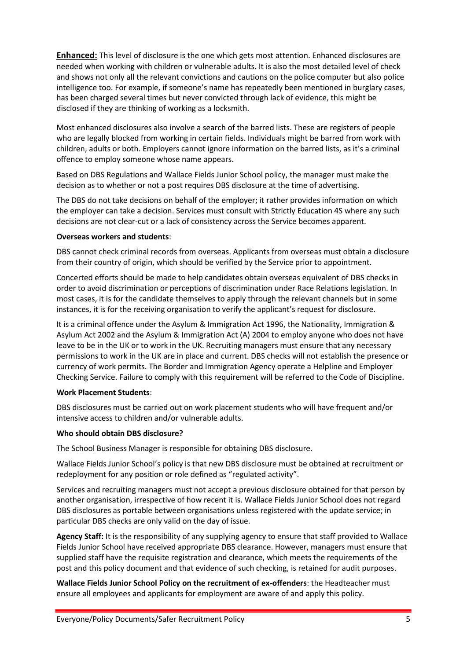**Enhanced:** This level of disclosure is the one which gets most attention. Enhanced disclosures are needed when working with children or vulnerable adults. It is also the most detailed level of check and shows not only all the relevant convictions and cautions on the police computer but also police intelligence too. For example, if someone's name has repeatedly been mentioned in burglary cases, has been charged several times but never convicted through lack of evidence, this might be disclosed if they are thinking of working as a locksmith.

Most enhanced disclosures also involve a search of the barred lists. These are registers of people who are legally blocked from working in certain fields. Individuals might be barred from work with children, adults or both. Employers cannot ignore information on the barred lists, as it's a criminal offence to employ someone whose name appears.

Based on DBS Regulations and Wallace Fields Junior School policy, the manager must make the decision as to whether or not a post requires DBS disclosure at the time of advertising.

The DBS do not take decisions on behalf of the employer; it rather provides information on which the employer can take a decision. Services must consult with Strictly Education 4S where any such decisions are not clear-cut or a lack of consistency across the Service becomes apparent.

#### Overseas workers and students:

DBS cannot check criminal records from overseas. Applicants from overseas must obtain a disclosure from their country of origin, which should be verified by the Service prior to appointment.

Concerted efforts should be made to help candidates obtain overseas equivalent of DBS checks in order to avoid discrimination or perceptions of discrimination under Race Relations legislation. In most cases, it is for the candidate themselves to apply through the relevant channels but in some instances, it is for the receiving organisation to verify the applicant's request for disclosure.

It is a criminal offence under the Asylum & Immigration Act 1996, the Nationality, Immigration & Asylum Act 2002 and the Asylum & Immigration Act (A) 2004 to employ anyone who does not have leave to be in the UK or to work in the UK. Recruiting managers must ensure that any necessary permissions to work in the UK are in place and current. DBS checks will not establish the presence or currency of work permits. The Border and Immigration Agency operate a Helpline and Employer Checking Service. Failure to comply with this requirement will be referred to the Code of Discipline.

#### Work Placement Students:

DBS disclosures must be carried out on work placement students who will have frequent and/or intensive access to children and/or vulnerable adults.

#### Who should obtain DBS disclosure?

The School Business Manager is responsible for obtaining DBS disclosure.

Wallace Fields Junior School's policy is that new DBS disclosure must be obtained at recruitment or redeployment for any position or role defined as "regulated activity".

Services and recruiting managers must not accept a previous disclosure obtained for that person by another organisation, irrespective of how recent it is. Wallace Fields Junior School does not regard DBS disclosures as portable between organisations unless registered with the update service; in particular DBS checks are only valid on the day of issue.

Agency Staff: It is the responsibility of any supplying agency to ensure that staff provided to Wallace Fields Junior School have received appropriate DBS clearance. However, managers must ensure that supplied staff have the requisite registration and clearance, which meets the requirements of the post and this policy document and that evidence of such checking, is retained for audit purposes.

Wallace Fields Junior School Policy on the recruitment of ex-offenders: the Headteacher must ensure all employees and applicants for employment are aware of and apply this policy.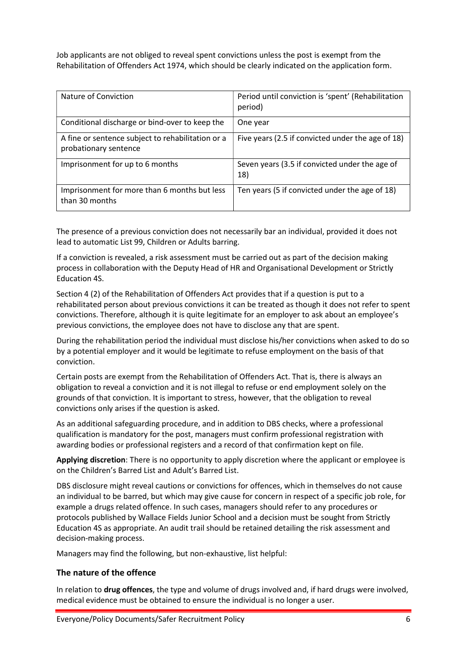Job applicants are not obliged to reveal spent convictions unless the post is exempt from the Rehabilitation of Offenders Act 1974, which should be clearly indicated on the application form.

| Nature of Conviction                                                       | Period until conviction is 'spent' (Rehabilitation<br>period) |
|----------------------------------------------------------------------------|---------------------------------------------------------------|
| Conditional discharge or bind-over to keep the                             | One year                                                      |
| A fine or sentence subject to rehabilitation or a<br>probationary sentence | Five years (2.5 if convicted under the age of 18)             |
| Imprisonment for up to 6 months                                            | Seven years (3.5 if convicted under the age of<br>18)         |
| Imprisonment for more than 6 months but less<br>than 30 months             | Ten years (5 if convicted under the age of 18)                |

The presence of a previous conviction does not necessarily bar an individual, provided it does not lead to automatic List 99, Children or Adults barring.

If a conviction is revealed, a risk assessment must be carried out as part of the decision making process in collaboration with the Deputy Head of HR and Organisational Development or Strictly Education 4S.

Section 4 (2) of the Rehabilitation of Offenders Act provides that if a question is put to a rehabilitated person about previous convictions it can be treated as though it does not refer to spent convictions. Therefore, although it is quite legitimate for an employer to ask about an employee's previous convictions, the employee does not have to disclose any that are spent.

During the rehabilitation period the individual must disclose his/her convictions when asked to do so by a potential employer and it would be legitimate to refuse employment on the basis of that conviction.

Certain posts are exempt from the Rehabilitation of Offenders Act. That is, there is always an obligation to reveal a conviction and it is not illegal to refuse or end employment solely on the grounds of that conviction. It is important to stress, however, that the obligation to reveal convictions only arises if the question is asked.

As an additional safeguarding procedure, and in addition to DBS checks, where a professional qualification is mandatory for the post, managers must confirm professional registration with awarding bodies or professional registers and a record of that confirmation kept on file.

Applying discretion: There is no opportunity to apply discretion where the applicant or employee is on the Children's Barred List and Adult's Barred List.

DBS disclosure might reveal cautions or convictions for offences, which in themselves do not cause an individual to be barred, but which may give cause for concern in respect of a specific job role, for example a drugs related offence. In such cases, managers should refer to any procedures or protocols published by Wallace Fields Junior School and a decision must be sought from Strictly Education 4S as appropriate. An audit trail should be retained detailing the risk assessment and decision-making process.

Managers may find the following, but non-exhaustive, list helpful:

#### The nature of the offence

In relation to **drug offences**, the type and volume of drugs involved and, if hard drugs were involved, medical evidence must be obtained to ensure the individual is no longer a user.